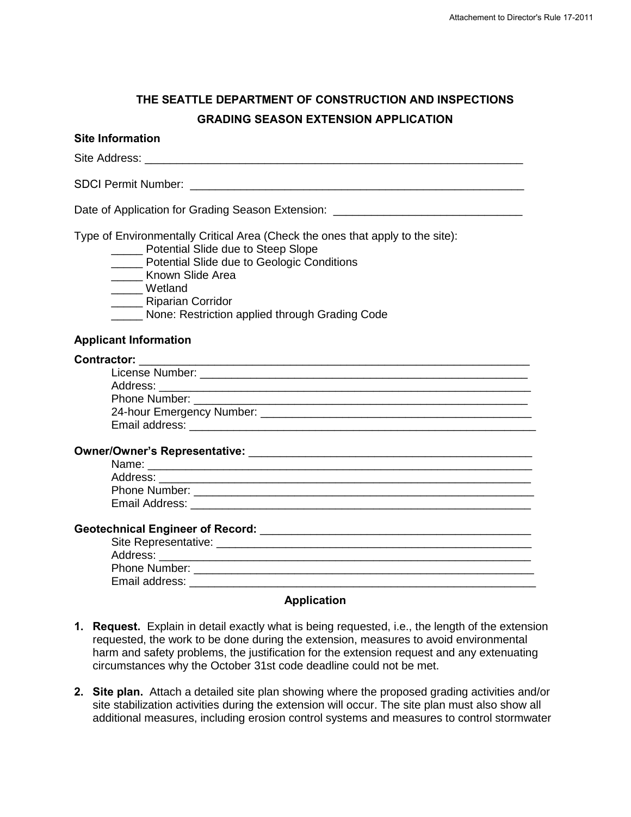| THE SEATTLE DEPARTMENT OF CONSTRUCTION AND INSPECTIONS |
|--------------------------------------------------------|
| <b>GRADING SEASON EXTENSION APPLICATION</b>            |

| <b>Site Information</b>                                                                                                                                                                                                                                                                                 |
|---------------------------------------------------------------------------------------------------------------------------------------------------------------------------------------------------------------------------------------------------------------------------------------------------------|
|                                                                                                                                                                                                                                                                                                         |
|                                                                                                                                                                                                                                                                                                         |
|                                                                                                                                                                                                                                                                                                         |
| Date of Application for Grading Season Extension: ______________________________                                                                                                                                                                                                                        |
| Type of Environmentally Critical Area (Check the ones that apply to the site):<br>_____ Potential Slide due to Steep Slope<br><b>Notential Slide due to Geologic Conditions</b><br>_____ Known Slide Area<br>____ Wetland<br><b>Niparian Corridor</b><br>None: Restriction applied through Grading Code |
| <b>Applicant Information</b>                                                                                                                                                                                                                                                                            |
|                                                                                                                                                                                                                                                                                                         |
|                                                                                                                                                                                                                                                                                                         |
|                                                                                                                                                                                                                                                                                                         |
|                                                                                                                                                                                                                                                                                                         |
|                                                                                                                                                                                                                                                                                                         |
|                                                                                                                                                                                                                                                                                                         |
|                                                                                                                                                                                                                                                                                                         |
|                                                                                                                                                                                                                                                                                                         |
|                                                                                                                                                                                                                                                                                                         |
|                                                                                                                                                                                                                                                                                                         |
|                                                                                                                                                                                                                                                                                                         |
|                                                                                                                                                                                                                                                                                                         |
|                                                                                                                                                                                                                                                                                                         |
|                                                                                                                                                                                                                                                                                                         |
|                                                                                                                                                                                                                                                                                                         |
|                                                                                                                                                                                                                                                                                                         |
|                                                                                                                                                                                                                                                                                                         |

## **Application**

- **1. Request.** Explain in detail exactly what is being requested, i.e., the length of the extension requested, the work to be done during the extension, measures to avoid environmental harm and safety problems, the justification for the extension request and any extenuating circumstances why the October 31st code deadline could not be met.
- **2. Site plan.** Attach a detailed site plan showing where the proposed grading activities and/or site stabilization activities during the extension will occur. The site plan must also show all additional measures, including erosion control systems and measures to control stormwater